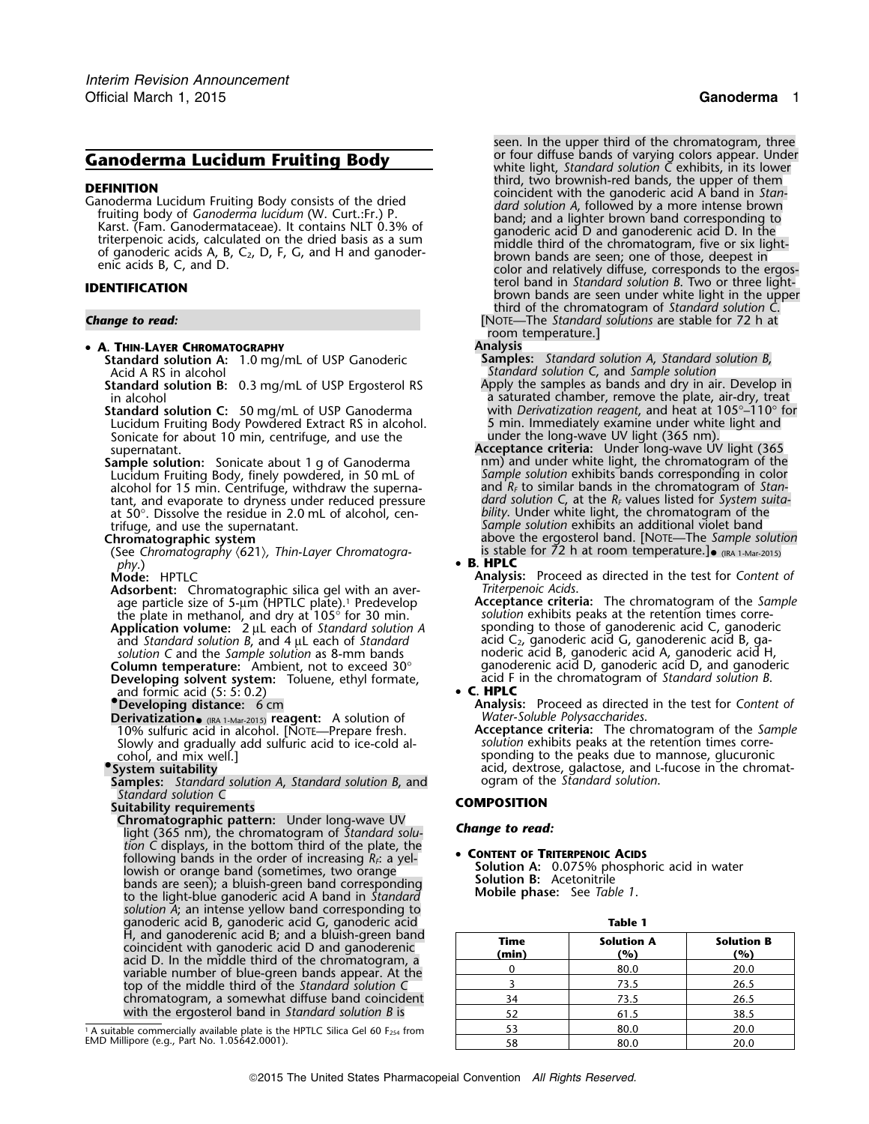# • **A. THIN-LAYER CHROMATOGRAPHY Analysis**

**Standard solution A:** 1.0 mg/mL of USP Ganoderic **Samples:** *Standard solution A*, *Standard solution B*,

**Standard solution B:** 0.3 mg/mL of USP Ergosterol RS in alcohol a saturated chamber, remove the plate, air-dry, treat

**Standard solution C:**<sup>50</sup> mg/mL of USP Ganoderma with *Derivatization reagent*, and heat at 105°–110° for Standard solution C: 50 mg/mL of USP Ganoderma with *Derivatization reagent*, and heat at 105°–110°<br>Lucidum Fruiting Body Powdered Extract RS in alcohol. 5 min. Immediately examine under white light and Sonicate for about 10 min, centrifuge, and use the Sonicate for about 10 min, centrifuge, and use the<br>supernatant.<br>**Acceptance criteria:** Under long-wave UV light (365 mm).<br>**Acceptance criteria:** Under long-wave UV light (365 mm).<br>**Acceptance criteria:** Under long-wave UV

**Sample solution:** Sonicate about 1 g of Ganoderma **num**) and under white light, the chromatogram of the Lucidum Fruiting Body, finely powdered, in 50 mL of Sample solution exhibits bands corresponding in color Lucidum Fruiting Body, finely powdered, in 50 mL of *Sample solution* exhibits bands corresponding in color alcohol for 15 min. Centrifuge, withdraw the superna-<br>tant, and evaporate to dryness under reduced pressure at 50°. Dissolve the residue in 2.0 mL of alcohol, centrifuge, and use the supernatant. *Sample solution* exhibits an additional violet band

**Chromatographic system**<br>(See *Chromatography*  $\langle 621 \rangle$ , *Thin-Layer Chromatogra-* is stable for 72 h at room temperature.]• (IRA 1-Mar-2015)<br>**B. HPLC** *phy*.) • **<sup>B</sup>. HPLC**

**Adsorbent:** Chromatographic silica gel with an aver- *Triterpenoic Acids*. age particle size of 5-µm (HPTLC plate).<sup>1</sup> Predevelop **Acceptance criteria:** The chromatogram of the *Sai* the plate in methanol, and dry at 105° for 30 min.

and *Standard solution B*, and 4 <sup>µ</sup>L each of *Standard* acid C2, ganoderic acid G, ganoderenic acid B, ga-

**Developing solvent system:** Toluene, ethyl formate, acid F in the chromatogram of *Standard solution B*. and formic acid (5: 5: 0.2) **• C. HPLC**<br> **•** Developing distance: 6 cm Analysis

**Derivatization** *Water-Soluble Polysaccharides*. • (IRA 1-Mar-2015) **reagent:** A solution of Slowly and gradually add sulfuric acid to ice-cold al-<br> **Columnacidens** cohol, and mix well.]<br> **System suitability** 

**Samples:** *Standard solution A, Standard solution B, and Standard solution C*

**Suitability requirements**<br> **COMPOSITION**<br> **Chromatographic pattern:** Under long-wave UV **Chromatographic pattern: Chromatographic pattern:** Under long-wave UV *Change to read:* light (365 nm), the chromatogram of *Standard solution* C displays, in the bottom third of the plate, the<br>following bands in the order of increasing  $R_f$ : a yel-<br>**••** Colution A: 0.075% phosphe bowish or only and (sometimes, two orange in the solution A: 0.075% phosphoric acid in water<br>bands are seen); a bluish-green band corresponding **Solution B:** Acetonitrile<br>to the light-blue ganoderic acid A band in *Standar solution A*; an intense yellow band corresponding to ganoderic acid B, ganoderic acid G, ganoderic acid **Table 1** top of the middle third of the *Standard solution C* <sup>3</sup> 73.5 26.5 chromatogram, a somewhat diffuse band coincident with the ergosterol band in *Standard solution B* is

*.* seen. In the upper third of the chromatogram, three **Ganoderma Lucidum Fruiting Body**<br> **Ganoderma Lucidum Fruiting Body** white light, *Standard solution C* exhibits, in its lower<br>
third, two brownish-red bands, the upper of them **DEFINITION**<br>
Canoderma Lucidum Fruiting Body consists of the dried<br>
fruiting body of *Ganoderma lucidum* (W. Curt.:Fr.) P.<br>
Karst. (Fam. Ganoderma lucidum (W. Curt.:Fr.) P.<br>
Karst. (Fam. Ganodermataceae). It contains NLT teric acids B, C, and D.<br> **IDENTIFICATION** brown bands are seen under white light in the upper<br> **IDENTIFICATION** brown bands are seen under white light in the upper third of the chromatogram of *Standard solution C*.

**Change to read: Change for read: Change for read: Change for 72** h at **Change for 72** h at room temperature.]<br>Analysis

Standard solution C, and *Sample solution*<br>Apply the samples as bands and dry in air. Develop in

dard solution C, at the R<sub>*F*</sub> values listed for *System suita-*<br>bility. Under white light, the chromatogram of the **Chromatographic system** above the ergosterol band. [NOTE—The *Sample solution*

**Mode:** HPTLC **Analysis:** Proceed as directed in the test for *Content of*

the plate in methanol, and dry at 105° for 30 min. *solution* exhibits peaks at the retention times corre-<br>**Application volume:** 2 µL each of Standard solution A sponding to those of ganoderenic acid C, ganoderic **Application volume:**<sup>2</sup> <sup>µ</sup>L each of *Standard solution A* sponding to those of ganoderenic acid C, ganoderic *solution C* and the *Sample solution* as 8-mm bands noderic acid B, ganoderic acid A, ganoderic acid H, **Column temperature:** Ambient, not to exceed 30° ganoderenic acid D, ganoderic acid D, and ganoderic

**Analysis:** Proceed as directed in the test for *Content of Water-Soluble Polysaccharides*.

10% sulfuric acid in alcohol. [NOTE—Prepare fresh. **Acceptance criteria:** The chromatogram of the *Sample* sponding to the peaks due to mannose, glucuronic acid, dextrose, galactose, and L-fucose in the chromat-<br>ogram of the *Standard solution*.

| H, and ganoderenic acid B; and a bluish-green band<br>coincident with ganoderic acid D and ganoderenic<br>acid D. In the middle third of the chromatogram, a<br>variable number of blue-green bands appear. At the<br>top of the middle third of the Standard solution C<br>chromatogram, a somewhat diffuse band coincident<br>with the ergosterol band in Standard solution B is | <b>Time</b><br>(min) | <b>Solution A</b><br>(%) | <b>Solution B</b><br>(%) |
|------------------------------------------------------------------------------------------------------------------------------------------------------------------------------------------------------------------------------------------------------------------------------------------------------------------------------------------------------------------------------------|----------------------|--------------------------|--------------------------|
|                                                                                                                                                                                                                                                                                                                                                                                    |                      | 80.0                     | 20.0                     |
|                                                                                                                                                                                                                                                                                                                                                                                    |                      | 73.5                     | 26.5                     |
|                                                                                                                                                                                                                                                                                                                                                                                    | 34                   | 73.5                     | 26.5                     |
|                                                                                                                                                                                                                                                                                                                                                                                    |                      | 61.5                     | 38.5                     |
| ble commercially available plate is the HPTLC Silica Gel 60 $F_{254}$ from<br>lipore (e.g., Part No. 1.05642.0001).                                                                                                                                                                                                                                                                |                      | 80.0                     | 20.0                     |
|                                                                                                                                                                                                                                                                                                                                                                                    |                      | 80.0                     | 20.0                     |

<sup>&</sup>lt;sup>1</sup> A suitable commercially available plate is the HPTLC Silica Gel 60 F<sub>254</sub> from  $\frac{53}{58}$  80.0 80.0 20.0 20.0 20.0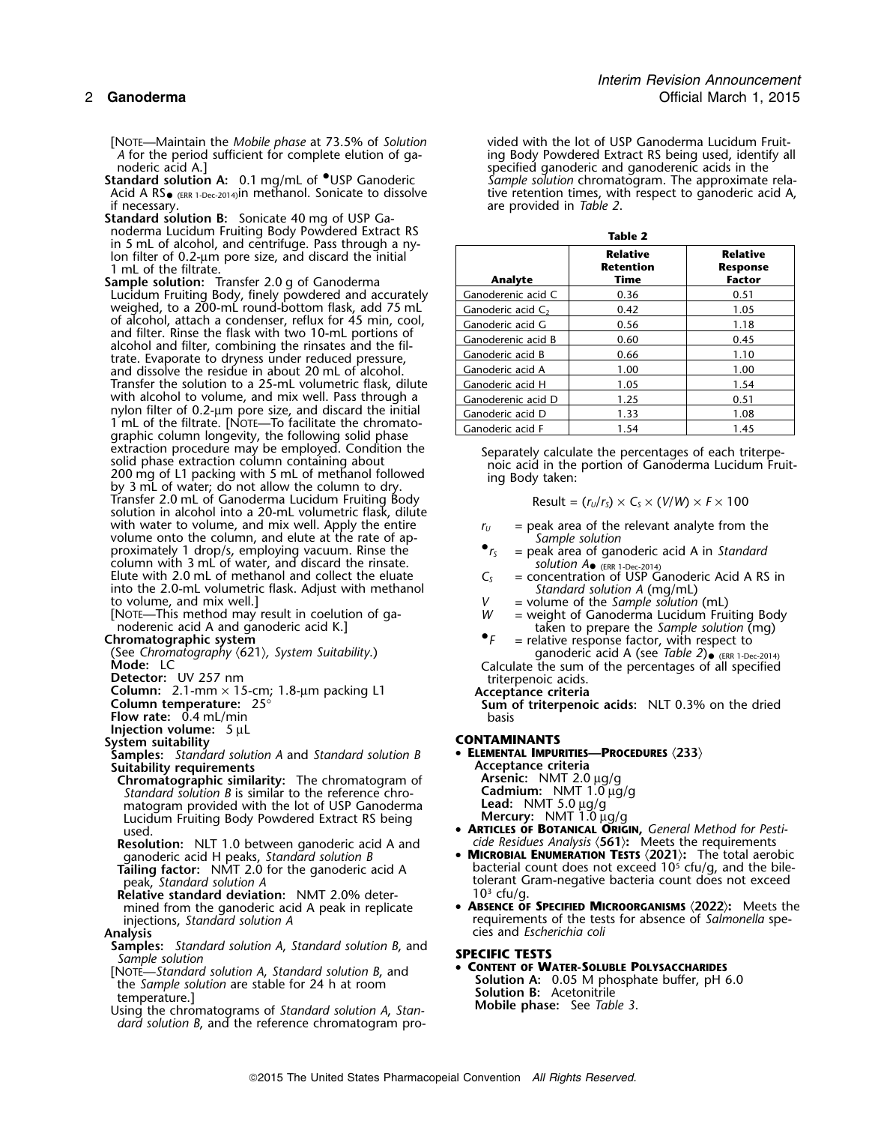[NOTE—Maintain the *Mobile phase* at 73.5% of *Solution* vided with the lot of USP Ganoderma Lucidum Fruit-

Acid A RS $_{\bullet}$  (ERR 1-Dec-2014) in methanol. Sonicate to dissolve Acid A RS  $_{\text{ERR 1-Dec-2014}}$ in methanol. Sonicate to dissolve tive retention times, with respect to ganoderic acid A, are provided in Table 2.

- **Standard solution B:** Sonicate 40 mg of USP Gain 5 mL of alcohol, and centrifuge. Pass through a nylon filter of 0.2-µm pore size, and discard the initial 1 mL of the filtrate.
- **Sample solution:** Transfer 2.0 g of Ganoderma Lucidum Fruiting Body, finely powdered and accurately  $\qquad \qquad \text{Ganoderenic acid C} \qquad \qquad 0.36 \qquad \qquad 0.51$ weighed, to a 200-mL round-bottom flask, add 75 mL  $\qquad$   $\mid$  Ganoderic acid C $_{2}$   $\mid$   $\qquad$  0.42  $\qquad$   $\mid$   $\qquad$  1.05 of alcohol, attach a condenser, reflux for 45 min, cool, and filter. Rinse the flask with two 10-mL portions of alcohol and filter, combining the rinsates and the filtrate. Evaporate to dryness under reduced pressure, and dissolve the residue in about 20 mL of alcohol. Transfer the solution to a 25-mL volumetric flask, dilute with alcohol to volume, and mix well. Pass through a nylon filter of 0.2-µm pore size, and discard the initial 1 mL of the filtrate. [NOTE—To facilitate the chromatographic column longevity, the following solid phase<br>extraction procedure may be employed. Condition the extraction procedure may be employed. Condition the Separately calculate the percentages of each triterpe-<br>solid phase extraction column containing about noic acid in the portion of Ganoderma Lucidum Fruit-<br>200 mg of L1 pa  $T$ ransfer 2.0 mL of Ganoderma Lucidum Fruiting Body solution in alcohol into a 20-mL volumetric flask, dilute with water to volume, and mix well. Apply the entire with water to volume, and mix well. Apply the entire *r<sub>U</sub>* = peak area of the relevant analyte from the volume onto the column, and elute at the rate of ap- *Sample solution*<br>proximately 1 drop/s, employing vacuum. Rinse proximately 1 drop/s, employing vacuum. Rinse the column with 3 mL of water, and discard the rinsate. Elute with 2.0 mL of methanol and collect the eluate  $C_s$  = concentration of USP Ganoder into the 2.0-mL volumetric flask. Adjust with methanol *Standard solution A* (mg/mL)

**Flow rate:** 0.4 mL/min

**Injection volume:** 5 µL

**Samples:** *Standard solution A* and *Standard solution B* • **ELEMENTAL IMPURITIES**<br>Suitability requirements

- **Suitability requirements**<br> **Chromatographic similarity:** The chromatogram of **Arsenic:** NMT 2.0 µg/g<br> *Standard solution B* is similar to the reference chro- **Cadmium:** NMT 1.0 µg/g **Chromatographic similarity:** The chromatogram of *Standard solution B* is similar to the reference chro- **Cadmium:** NMT 1.0 µg/g matogram provided with the lot of USP Ganoderma Lucidum Fruiting Body Powdered Extract RS being<br>Used
- **Resolution:** NLT 1.0 between ganoderic acid A and *qanoderic acid H peaks, Standard solution B*
- **Tailing factor:** NMT 2.0 for the ganoderic acid A . peak, *Standard solution A*
- **Relative standard deviation: NMT 2.0% deter-**

- **Samples:** *Standard solution A, Standard solution B, and* **SPECIFIC TESTS**<br>
Sample solution *Sample solution A, Standard solution B, and* **<b>• Context of A & Solution A**, A & Solution System and the Standard solution of
- 
- *dard solution B*, and the reference chromatogram pro-

*A* for the period sufficient for complete elution of ga- ing Body Powdered Extract RS being used, identify all noderic acid A.] noderic acid A.]<br>**Standard solution A:** 0.1 mg/mL of <sup>O</sup>USP Ganoderic standare of sample solution chromatogram. The approximate Sample solution chromatogram. The approximate relaare provided in *Table 2*.

| Table 2              |                                      |                                                     |  |  |  |
|----------------------|--------------------------------------|-----------------------------------------------------|--|--|--|
| Analyte              | <b>Relative</b><br>Retention<br>Time | <b>Relative</b><br><b>Response</b><br><b>Factor</b> |  |  |  |
| Ganoderenic acid C   | 0.36                                 | 0.51                                                |  |  |  |
| Ganoderic acid $C_2$ | 0.42                                 | 1.05                                                |  |  |  |
| Ganoderic acid G     | 0.56                                 | 1.18                                                |  |  |  |
| Ganoderenic acid B   | 0.60                                 | 0.45                                                |  |  |  |
| Ganoderic acid B     | 0.66                                 | 1.10                                                |  |  |  |
| Ganoderic acid A     | 1.00                                 | 1.00                                                |  |  |  |
| Ganoderic acid H     | 1.05                                 | 1.54                                                |  |  |  |
| Ganoderenic acid D   | 1.25                                 | 0.51                                                |  |  |  |
| Ganoderic acid D     | 1.33                                 | 1.08                                                |  |  |  |
| Ganoderic acid F     | 1.54                                 | 1.45                                                |  |  |  |

Result = 
$$
(r_U/r_S) \times C_S \times (V/W) \times F \times 100
$$

- 
- 
- solution  $A_{\bullet}$  (ERR 1-Dec-2014)<br>= concentration of USP Ganoderic Acid A RS in
- 
- 
- to volume, and mix well.]<br>
[NOTE—This method may result in coelution of ga-<br>
moderenic acid A and ganoderic acid K.]<br> **Chromatographic system**<br>
(See Chromatography (621), System Suitability.)<br>
Mode: LC<br>
Mode: LC<br>
Calculat ganoderic acid A (see Table 2) <sub>(ERR 1-Dec-2014)</sub>

Detector: UV 257 nm<br>
Column: 2.1-mm × 15-cm; 1.8-μm packing L1<br>
Column temperature: 25°<br>
Flow rate: 0.4 mL/min<br>
Flow rate: 0.4 mL/min<br>
Flow rate: 0.4 mL/min

System suitability<br>System suitability<br>Samples: Standard solution A and Standard solution R **CONTAMINANTS** 

- **ARTICLES OF BOTANICAL ORIGIN,** General Method for Pesticide Residues Analysis (561): Meets the requirements
- **MICROBIAL ENUMERATION TESTS**  $\langle 2021 \rangle$ **:** The total aerobic bacterial count does not exceed 10<sup>5</sup> cfu/g, and the biletolerant Gram-negative bacteria count does not exceed 10<sup>3</sup> cfu/q.
- mined from the ganoderic acid A peak in replicate  **ABSENCE OF SPECIFIED MICROORGANISMS**  $\langle 2022 \rangle$ : Meets the injections, Standard solution A injections, *Standard solution A* requirements of the tests for absence of *Salmonella* spe-<br>Analysis cies and *Escherichia coli* **Analysis** cies and *Escherichia coli*

From Solution A: 0.05 M phosphate buffer, pH 6.0<br>the Sample solution are stable for 24 h at room<br>temperature.]<br>Using the chromatograms of Standard solution A, Stan-<br>Mobile phase: See Table 3.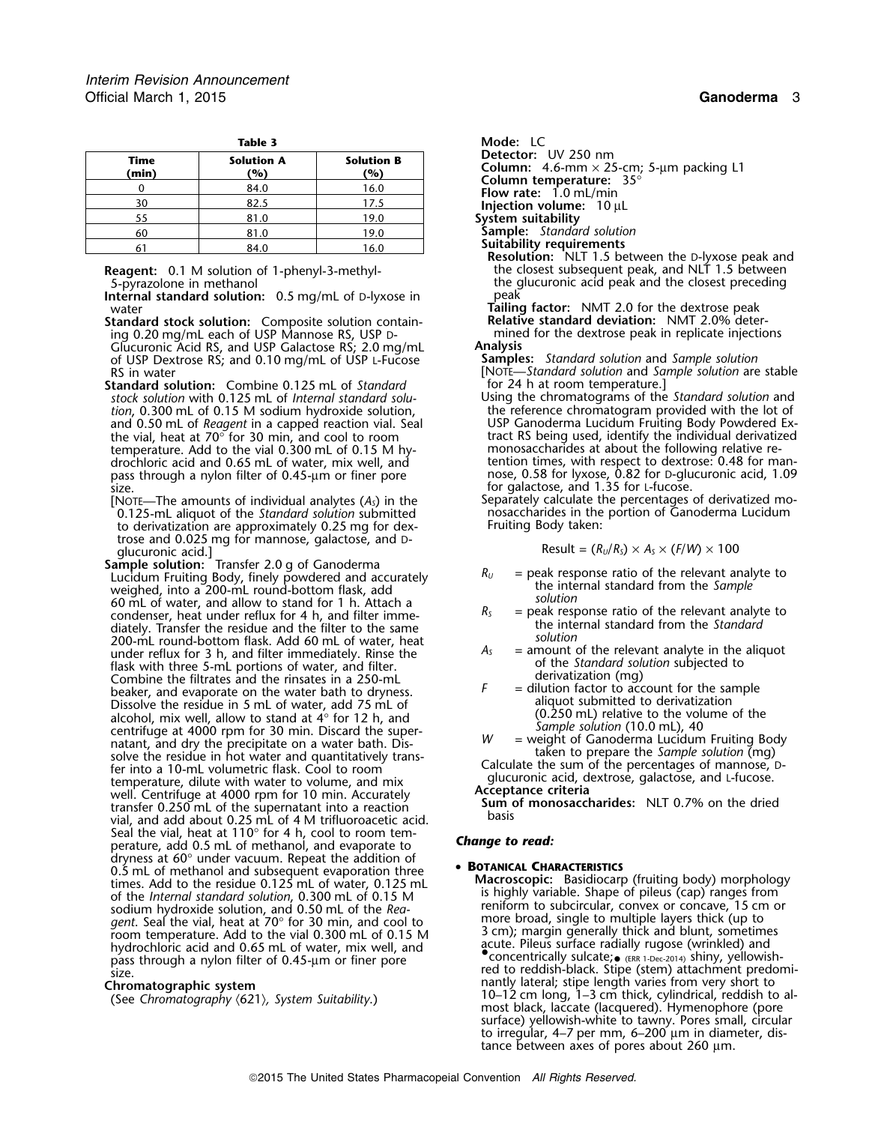| Mode: LC                                                       |                          | Table 3                  |               |  |
|----------------------------------------------------------------|--------------------------|--------------------------|---------------|--|
| <b>Detector:</b> UV 250 nm<br>Column: $4.6$ -mm $\times$ 25-cn | <b>Solution B</b><br>(%) | <b>Solution A</b><br>(%) | Time<br>(min) |  |
| Column temperature: 35<br><b>Flow rate:</b> $1.0$ mL/min       | 16.0                     | 84.0                     |               |  |
| Injection volume: 10 µL                                        | 17.5                     | 82.5                     | 30            |  |
| System suitability                                             | 19.0                     | 81.0                     | 55            |  |
| <b>Sample:</b> Standard solution                               | 19.0                     | 81.0                     | 60            |  |
| <b>Suitability requirements</b>                                | 16.0                     | 84.0                     |               |  |

**Internal standard solution:** 0.5 mg/mL of D-lyxose in peak water<br> **Tailing factor:** NMT 2.0 for the dextrose peak<br> **Tailing factor:** NMT 2.0% deter-<br> **Relative standard deviation:** NMT 2.0% deter-

**Standard stock solution:** Composite solution contain- **Relative standard deviation:** NMT 2.0% deter-

Glucuronic Acid RS, and USP Galactose RS; 2.0 mg/mL **Analysis** of USP Dextrose RS; and 0.10 mg/mL of USP L-Fucose **Samples:** *Standard solution* and *Sample solution*

**Standard solution:** Combine 0.125 mL of *Standard* for 24 h at room temperature.]<br>fock solution with 0.125 mL of *Internal standard solu* for the chromatograms of the *Standard solution* and temperature. Add to the vial 0.300 mL of 0.15 M hy- monosaccharides at about the following relative repass through a nylon filter of 0.45-µm or finer pore size. For galactose, and 1.35 for L-fucose.

0.125-mL aliquot of the *Standard solution* submitted nosaccharides in the to derivatization are approximately 0.25 mg for dex-<br>Fruiting Body taken: to derivatization are approximately 0.25 mg for dextrose and 0.025 mg for mannose, galactose, and <sup>D</sup> glucuronic acid.]<br>**Sample solution:** Transfer 2.0 g of Ganoderma

**Sample solution:** Transfer 2.0 g of Ganoderma *R<sub>U</sub>* = peak response ratio of the relevant analyte to Lucidum Fruiting Body, finely powdered and accurately *Ru* = peak response ratio of the relevant analyte to weighed, into a 200-mL round-bottom flask, add the internal standard from the *Sample* 60 mL of water, and allow to stand for 1 h. Attach a<br>condenser, heat under reflux for 4 h, and filter imme-<br>diately. Transfer the residue and the filter to the same<br>200-mL round-bottom flask. Add 60 mL of water, heat<br>unde flask with three 5-mL portions of water, and filter.<br>
Combine the filtrates and the rinsates in a 250-mL derivatization (mg)<br>
beaker, and evaporate on the water bath to dryness<br>  $F =$  dilution factor to account for the sam beaker, and evaporate on the water bath to dryness.<br>Dissolve the residue in 5 mL of water add 75 mL of aliquot submitted to derivatization Dissolve the residue in 5 mL of water, add 75 mL of aliquot submitted to derivatization alcohol, mix well, allow to stand at 4° for 12 h, and (0.250 mL) relative to the volume of the centrifuge at 4000 rpm for 30 min. Discard the super-<br>natant, and dry the precipitate on a water bath. Dis-<br>solve the residue Frinto a 10-mL volumetric flask. Cool to room Calculate the sum of the percentages of mannose, D-<br>temperature, dilute with water to volume, and mix<br>well Centrifuge at 4000 rpm for 10 min. Accurately **Acceptance criteria** well. Centrifuge at 4000 rpm for 10 min. Accurately<br>transfer 0.250 mL of the supernatant into a reaction **Sum of monosaccharides:** NLT 0.7% on the dried **Sum of the supernatant into a reaction**<br>vial, and add about 0.25 mL of 4 M trifluoroacetic acid. Seal the vial, heat at 110° for 4 h, cool to room tem-<br>perature, add 0.5 mL of methanol, and evaporate to **Change to read:** dryness at  $60^\circ$  under vacuum. Repeat the addition of 0.5 mL of methanol and subsequent evaporation three **<sup>B</sup>OTANICAL CHARACTERISTICS** 0.5 mL of methanol and subsequent evaporation three **Macroscopic:** Basidiocarp (fruiting body) morphology times. Add to the residue 0.125 mL of water, 0.125 mL of the *Internal standard solution*, 0.300 mL of 0.15 M is highly variable. Shape of pileus (cap) ranges from Solium hydroxide solution, and 0.50 mL of the Req.<br>
gent. Seal the vial, heat at 70° for 30 min, and cool to<br>
room temperature. Add to the vial 0.300 mL of 0.15 M<br>
hydrochloric acid and 0.65 mL of water, mix well, and<br>
pas

**Detector:** UV 250 nm

**Column:** 4.6-mm × 25-cm; 5-µm packing L1 **Column temperature:** 35°<br>**Flow rate:** 1.0 mL/min

- 
- **Suitability requirements**<br>**Resolution:** NLT 1.5 between the D-lyxose peak and **Reagent:** 0.1 M solution of 1-phenyl-3-methyl- the closest subsequent peak, and NLT 1.5 between 5-pyrazolone in methanol the glucuronic acid peak and the closest preceding

ing 0.20 mg/mL each of USP Mannose RS, USP <sup>D</sup>- mined for the dextrose peak in replicate injections

- RS in water<br> **RS** in water and **Sample solution** are stable<br> **Standard solution:** Combine 0.125 mL of *Standard* for 24 h at room temperature.
- *stock solution* with 0.125 mL of *Internal standard solu-* Using the chromatograms of the *Standard solution* and tion, 0.300 mL of 0.15 M sodium hydroxide solution, the reference chromatogram provided with the lot of the lot<br>and 0.50 mL of *Reagent* in a capped reaction vial. Seal Turn USP Ganoderma Lucidum Fruiting Body Powdered Exand 0.50 mL of *Reagent* in a capped reaction vial. Seal USP Ganoderma Lucidum Fruiting Body Powdered Ex-<br>the vial, heat at 70° for 30 min, and cool to room the stract RS being used, identify the individual derivatized the vial, heat at 70 $^{\circ}$  for 30 min, and cool to room tract RS being used, identify the individual derivatized drochloric acid and 0.65 mL of water, mix well, and tention times, with respect to dextrose: 0.48 for man-<br>pass through a nylon filter of 0.45-µm or finer pore nose, 0.58 for lyxose, 0.82 for D-glucuronic acid, 1.09

[NOTE—The amounts of individual analytes  $(A_5)$  in the Separately calculate the percentages of derivatized mo-<br> $0.125$ -mL aliquot of the *Standard solution* submitted nosaccharides in the portion of Ganoderma Lucidum

$$
Result = (R_U/R_S) \times A_S \times (F/W) \times 100
$$

- 
- 
- 
- 

size.<br>
Chromatographic system<br>
Chromatography (621), System Suitability.) **Chromatography (621), System Suitability.**<br>
Chromatography (621), System Suitability.) **Chromatography (621)**, System Suitability. most black, laccate (lacquered). Hymenophore (pore surface) yellowish-white to tawny. Pores small, circular to irregular, 4–7 per mm, 6–200 µm in diameter, distance between axes of pores about 260 µm.